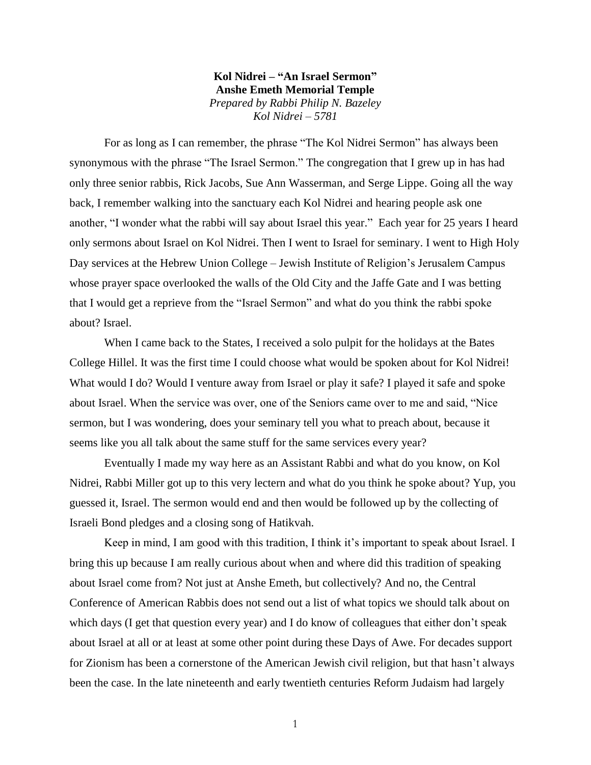**Kol Nidrei – "An Israel Sermon" Anshe Emeth Memorial Temple** *Prepared by Rabbi Philip N. Bazeley Kol Nidrei – 5781*

For as long as I can remember, the phrase "The Kol Nidrei Sermon" has always been synonymous with the phrase "The Israel Sermon." The congregation that I grew up in has had only three senior rabbis, Rick Jacobs, Sue Ann Wasserman, and Serge Lippe. Going all the way back, I remember walking into the sanctuary each Kol Nidrei and hearing people ask one another, "I wonder what the rabbi will say about Israel this year." Each year for 25 years I heard only sermons about Israel on Kol Nidrei. Then I went to Israel for seminary. I went to High Holy Day services at the Hebrew Union College – Jewish Institute of Religion's Jerusalem Campus whose prayer space overlooked the walls of the Old City and the Jaffe Gate and I was betting that I would get a reprieve from the "Israel Sermon" and what do you think the rabbi spoke about? Israel.

When I came back to the States, I received a solo pulpit for the holidays at the Bates College Hillel. It was the first time I could choose what would be spoken about for Kol Nidrei! What would I do? Would I venture away from Israel or play it safe? I played it safe and spoke about Israel. When the service was over, one of the Seniors came over to me and said, "Nice sermon, but I was wondering, does your seminary tell you what to preach about, because it seems like you all talk about the same stuff for the same services every year?

Eventually I made my way here as an Assistant Rabbi and what do you know, on Kol Nidrei, Rabbi Miller got up to this very lectern and what do you think he spoke about? Yup, you guessed it, Israel. The sermon would end and then would be followed up by the collecting of Israeli Bond pledges and a closing song of Hatikvah.

Keep in mind, I am good with this tradition, I think it's important to speak about Israel. I bring this up because I am really curious about when and where did this tradition of speaking about Israel come from? Not just at Anshe Emeth, but collectively? And no, the Central Conference of American Rabbis does not send out a list of what topics we should talk about on which days (I get that question every year) and I do know of colleagues that either don't speak about Israel at all or at least at some other point during these Days of Awe. For decades support for Zionism has been a cornerstone of the American Jewish civil religion, but that hasn't always been the case. In the late nineteenth and early twentieth centuries Reform Judaism had largely

1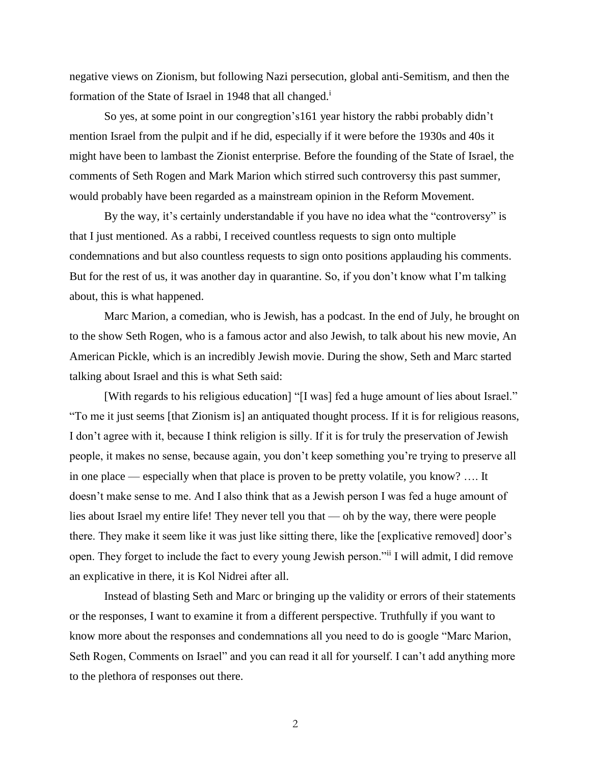negative views on Zionism, but following Nazi persecution, global anti-Semitism, and then the formation of the State of Israel in 1948 that all changed.<sup>1</sup>

So yes, at some point in our congregtion's161 year history the rabbi probably didn't mention Israel from the pulpit and if he did, especially if it were before the 1930s and 40s it might have been to lambast the Zionist enterprise. Before the founding of the State of Israel, the comments of Seth Rogen and Mark Marion which stirred such controversy this past summer, would probably have been regarded as a mainstream opinion in the Reform Movement.

By the way, it's certainly understandable if you have no idea what the "controversy" is that I just mentioned. As a rabbi, I received countless requests to sign onto multiple condemnations and but also countless requests to sign onto positions applauding his comments. But for the rest of us, it was another day in quarantine. So, if you don't know what I'm talking about, this is what happened.

Marc Marion, a comedian, who is Jewish, has a podcast. In the end of July, he brought on to the show Seth Rogen, who is a famous actor and also Jewish, to talk about his new movie, An American Pickle, which is an incredibly Jewish movie. During the show, Seth and Marc started talking about Israel and this is what Seth said:

[With regards to his religious education] "[I was] fed a huge amount of lies about Israel." "To me it just seems [that Zionism is] an antiquated thought process. If it is for religious reasons, I don't agree with it, because I think religion is silly. If it is for truly the preservation of Jewish people, it makes no sense, because again, you don't keep something you're trying to preserve all in one place — especially when that place is proven to be pretty volatile, you know? …. It doesn't make sense to me. And I also think that as a Jewish person I was fed a huge amount of lies about Israel my entire life! They never tell you that — oh by the way, there were people there. They make it seem like it was just like sitting there, like the [explicative removed] door's open. They forget to include the fact to every young Jewish person."ii I will admit, I did remove an explicative in there, it is Kol Nidrei after all.

Instead of blasting Seth and Marc or bringing up the validity or errors of their statements or the responses, I want to examine it from a different perspective. Truthfully if you want to know more about the responses and condemnations all you need to do is google "Marc Marion, Seth Rogen, Comments on Israel" and you can read it all for yourself. I can't add anything more to the plethora of responses out there.

2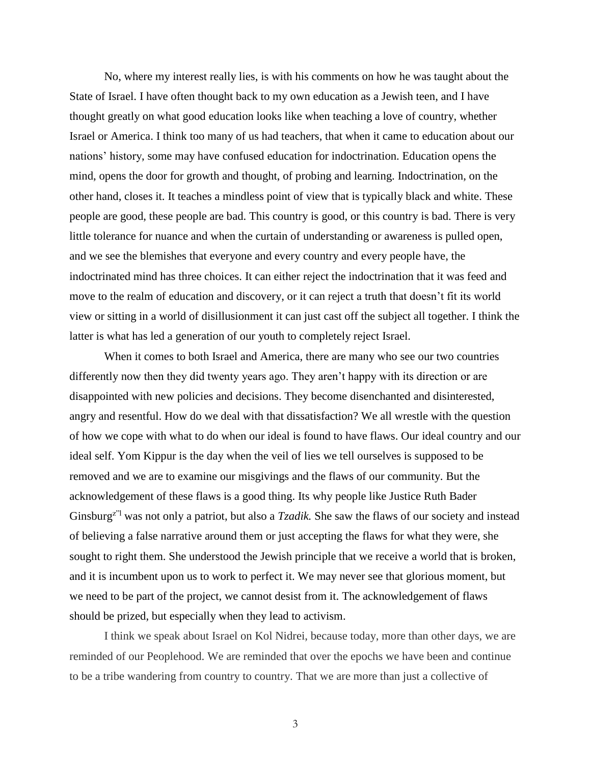No, where my interest really lies, is with his comments on how he was taught about the State of Israel. I have often thought back to my own education as a Jewish teen, and I have thought greatly on what good education looks like when teaching a love of country, whether Israel or America. I think too many of us had teachers, that when it came to education about our nations' history, some may have confused education for indoctrination. Education opens the mind, opens the door for growth and thought, of probing and learning. Indoctrination, on the other hand, closes it. It teaches a mindless point of view that is typically black and white. These people are good, these people are bad. This country is good, or this country is bad. There is very little tolerance for nuance and when the curtain of understanding or awareness is pulled open, and we see the blemishes that everyone and every country and every people have, the indoctrinated mind has three choices. It can either reject the indoctrination that it was feed and move to the realm of education and discovery, or it can reject a truth that doesn't fit its world view or sitting in a world of disillusionment it can just cast off the subject all together. I think the latter is what has led a generation of our youth to completely reject Israel.

When it comes to both Israel and America, there are many who see our two countries differently now then they did twenty years ago. They aren't happy with its direction or are disappointed with new policies and decisions. They become disenchanted and disinterested, angry and resentful. How do we deal with that dissatisfaction? We all wrestle with the question of how we cope with what to do when our ideal is found to have flaws. Our ideal country and our ideal self. Yom Kippur is the day when the veil of lies we tell ourselves is supposed to be removed and we are to examine our misgivings and the flaws of our community. But the acknowledgement of these flaws is a good thing. Its why people like Justice Ruth Bader Ginsburg<sup>z"l</sup> was not only a patriot, but also a *Tzadik*. She saw the flaws of our society and instead of believing a false narrative around them or just accepting the flaws for what they were, she sought to right them. She understood the Jewish principle that we receive a world that is broken, and it is incumbent upon us to work to perfect it. We may never see that glorious moment, but we need to be part of the project, we cannot desist from it. The acknowledgement of flaws should be prized, but especially when they lead to activism.

I think we speak about Israel on Kol Nidrei, because today, more than other days, we are reminded of our Peoplehood. We are reminded that over the epochs we have been and continue to be a tribe wandering from country to country. That we are more than just a collective of

3